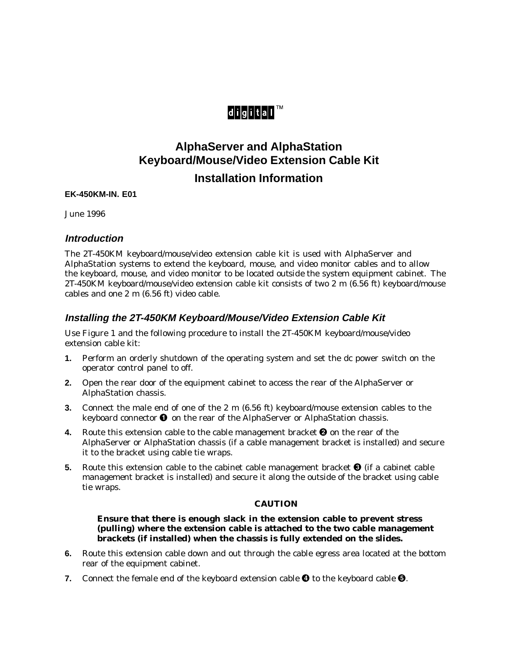# digital™

## **AlphaServer and AlphaStation Keyboard/Mouse/Video Extension Cable Kit Installation Information**

#### **EK-450KM-IN. E01**

June 1996

## **Introduction**

The 2T-450KM keyboard/mouse/video extension cable kit is used with AlphaServer and AlphaStation systems to extend the keyboard, mouse, and video monitor cables and to allow the keyboard, mouse, and video monitor to be located *outside* the system equipment cabinet. The 2T-450KM keyboard/mouse/video extension cable kit consists of two 2 m (6.56 ft) keyboard/mouse cables and one 2 m (6.56 ft) video cable.

## **Installing the 2T-450KM Keyboard/Mouse/Video Extension Cable Kit**

Use Figure 1 and the following procedure to install the 2T-450KM keyboard/mouse/video extension cable kit:

- **1.** Perform an orderly shutdown of the operating system and set the dc power switch on the operator control panel to off.
- **2.** Open the rear door of the equipment cabinet to access the rear of the AlphaServer or AlphaStation chassis.
- **3.** Connect the male end of one of the 2 m (6.56 ft) keyboard/mouse extension cables to the keyboard connector  $\bullet$  on the rear of the AlphaServer or AlphaStation chassis.
- **4.** Route this extension cable to the cable management bracket  $\Theta$  on the rear of the AlphaServer or AlphaStation chassis (if a cable management bracket is installed) and secure it to the bracket using cable tie wraps.
- **5.** Route this extension cable to the cabinet cable management bracket  $\Theta$  (if a cabinet cable management bracket is installed) and secure it along the outside of the bracket using cable tie wraps.

#### **CAUTION**

**Ensure that there is enough slack in the extension cable to prevent stress (pulling) where the extension cable is attached to the two cable management brackets (if installed) when the chassis is fully extended on the slides.**

- **6.** Route this extension cable down and out through the cable egress area located at the bottom rear of the equipment cabinet.
- **7.** Connect the female end of the keyboard extension cable  $\bullet$  to the keyboard cable  $\bullet$ .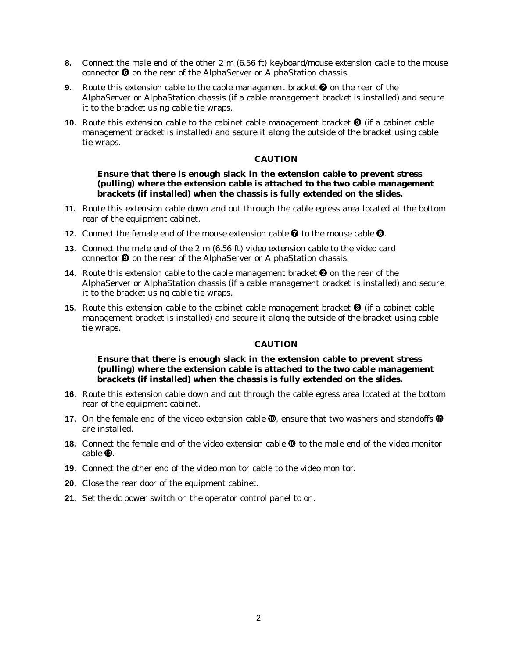- **8.** Connect the male end of the other 2 m (6.56 ft) keyboard/mouse extension cable to the mouse connector  $\Theta$  on the rear of the AlphaServer or AlphaStation chassis.
- **9.** Route this extension cable to the cable management bracket  $\Theta$  on the rear of the AlphaServer or AlphaStation chassis (if a cable management bracket is installed) and secure it to the bracket using cable tie wraps.
- **10.** Route this extension cable to the cabinet cable management bracket  $\Theta$  (if a cabinet cable management bracket is installed) and secure it along the outside of the bracket using cable tie wraps.

#### **CAUTION**

#### **Ensure that there is enough slack in the extension cable to prevent stress (pulling) where the extension cable is attached to the two cable management brackets (if installed) when the chassis is fully extended on the slides.**

- **11.** Route this extension cable down and out through the cable egress area located at the bottom rear of the equipment cabinet.
- **12.** Connect the female end of the mouse extension cable  $\bullet$  to the mouse cable  $\bullet$ .
- **13.** Connect the male end of the 2 m (6.56 ft) video extension cable to the video card connector  $\Theta$  on the rear of the AlphaServer or AlphaStation chassis.
- **14.** Route this extension cable to the cable management bracket  $\Theta$  on the rear of the AlphaServer or AlphaStation chassis (if a cable management bracket is installed) and secure it to the bracket using cable tie wraps.
- **15.** Route this extension cable to the cabinet cable management bracket  $\Theta$  (if a cabinet cable management bracket is installed) and secure it along the outside of the bracket using cable tie wraps.

#### **CAUTION**

### **Ensure that there is enough slack in the extension cable to prevent stress (pulling) where the extension cable is attached to the two cable management brackets (if installed) when the chassis is fully extended on the slides.**

- **16.** Route this extension cable down and out through the cable egress area located at the bottom rear of the equipment cabinet.
- **17.** On the female end of the video extension cable  $\Phi$ , ensure that two washers and standoffs  $\Phi$ are installed.
- **18.** Connect the female end of the video extension cable  $\Phi$  to the male end of the video monitor cable  $\Phi$ .
- **19.** Connect the other end of the video monitor cable to the video monitor.
- **20.** Close the rear door of the equipment cabinet.
- **21.** Set the dc power switch on the operator control panel to on.